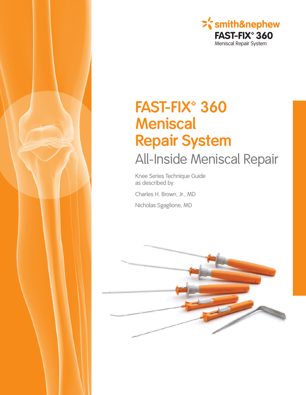

# FAST-FIX<sup>®</sup> 360 **Meniscal Repair System** All-Inside Meniscal Repair

Knee Series Technique Guide as described by:

Charles H. Brown, Jr., MD

Nicholas Sgaglione, MD

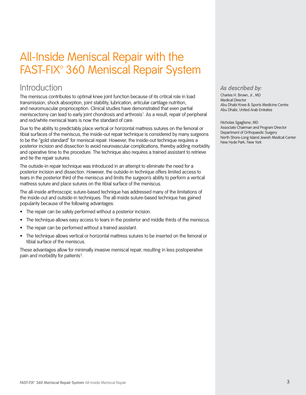## **All-Inside Meniscal Repair with the** FAST-FIX<sup>®</sup> 360 Meniscal Repair System

### Introduction

The meniscus contributes to optimal knee joint function because of its critical role in load transmission, shock absorption, joint stability, lubrication, articular cartilage nutrition, and neuromuscular proprioception. Clinical studies have demonstrated that even partial meniscectomy can lead to early joint chondrosis and arthrosis<sup>1</sup>. As a result, repair of peripheral and red/white meniscal tears is now the standard of care.

Due to the ability to predictably place vertical or horizontal mattress sutures on the femoral or tibial surfaces of the meniscus, the inside-out repair technique is considered by many surgeons to be the "gold standard" for meniscal repair. However, the inside-out technique requires a posterior incision and dissection to avoid neurovascular complications, thereby adding morbidity and operative time to the procedure. The technique also requires a trained assistant to retrieve and tie the repair sutures.

The outside-in repair technique was introduced in an attempt to eliminate the need for a posterior incision and dissection. However, the outside-in technique offers limited access to tears in the posterior third of the meniscus and limits the surgeon's ability to perform a vertical mattress suture and place sutures on the tibial surface of the meniscus.

The all-inside arthroscopic suture-based technique has addressed many of the limitations of the inside-out and outside-in techniques. The all-inside suture-based technique has gained popularity because of the following advantages:

- The repair can be safely performed without a posterior incision.
- The technique allows easy access to tears in the posterior and middle thirds of the meniscus.
- The repair can be performed without a trained assistant.
- The technique allows vertical or horizontal mattress sutures to be inserted on the femoral or tibial surface of the meniscus.

These advantages allow for minimally invasive meniscal repair, resulting in less postoperative pain and morbidity for patients<sup>2</sup>.

#### As described by:

Charles H. Brown, Jr., MD **Medical Director** Abu Dhabi Knee & Sports Medicine Centre Abu Dhabi, United Arab Emirates

Nicholas Sgaglione, MD Associate Chairman and Program Director Department of Orthopaedic Surgery North Shore-Long Island Jewish Medical Center New Hyde Park, New York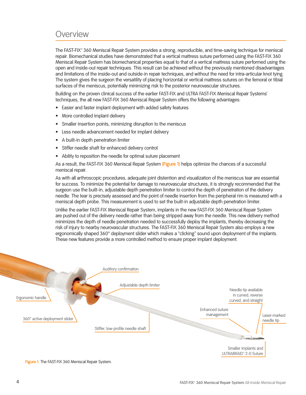### Overview

The FAST-FIX° 360 Meniscal Repair System provides a strong, reproducible, and time-saving technique for meniscal repair. Biomechanical studies have demonstrated that a vertical mattress suture performed using the FAST-FIX 360 Meniscal Repair System has biomechanical properties equal to that of a vertical mattress suture performed using the open and inside-out repair techniques. This result can be achieved without the previously mentioned disadvantages and limitations of the inside-out and outside-in repair techniques, and without the need for intra-articular knot tying. The system gives the surgeon the versatility of placing horizontal or vertical mattress sutures on the femoral or tibial surfaces of the meniscus, potentially minimizing risk to the posterior neurovascular structures.

Building on the proven clinical success of the earlier FAST-FIX and ULTRA FAST-FIX Meniscal Repair Systems' techniques, the all new FAST-FIX 360 Meniscal Repair System offers the following advantages:

- Easier and faster implant deployment with added safety features
- More controlled implant delivery
- Smaller insertion points, minimizing disruption to the meniscus
- Less needle advancement needed for implant delivery
- A built-in depth penetration limiter  $\bullet$
- Stiffer needle shaft for enhanced delivery control
- Ability to reposition the needle for optimal suture placement

As a result, the FAST-FIX 360 Meniscal Repair System (Figure 1) helps optimize the chances of a successful meniscal repair.

As with all arthroscopic procedures, adequate joint distention and visualization of the meniscus tear are essential for success. To minimize the potential for damage to neurovascular structures, it is strongly recommended that the surgeon use the built-in, adjustable depth penetration limiter to control the depth of penetration of the delivery needle. The tear is precisely assessed and the point of needle insertion from the peripheral rim is measured with a meniscal depth probe. This measurement is used to set the built-in adjustable depth penetration limiter.

Unlike the earlier FAST-FIX Meniscal Repair System, implants in the new FAST-FIX 360 Meniscal Repair System are pushed out of the delivery needle rather than being stripped away from the needle. This new delivery method minimizes the depth of needle penetration needed to successfully deploy the implants, thereby decreasing the risk of injury to nearby neurovascular structures. The FAST-FIX 360 Meniscal Repair System also employs a new ergonomically shaped 360° deployment slider which makes a "clicking" sound upon deployment of the implants. These new features provide a more controlled method to ensure proper implant deployment.

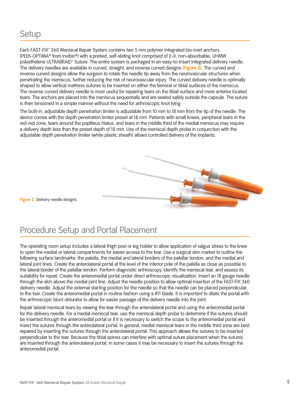### Setup

Each FAST-FIX° 360 Meniscal Repair System contains two 5 mm polymer integrated bio-inert anchors (PEEK-OPTIMA® from Invibio®) with a pretied, self-sliding knot comprised of 2-0, non-absorbable, UHMW polyethelene ULTRABRAID° Suture. The entire system is packaged in an easy-to-insert integrated delivery needle. The delivery needles are available in curved, straight, and reverse curved designs (Figure 2). The curved and reverse curved designs allow the surgeon to rotate the needle tip away from the neurovascular structures when penetrating the meniscus, further reducing the risk of neurovascular injury. The curved delivery needle is optimally shaped to allow vertical mattress sutures to be inserted on either the femoral or tibial surfaces of the meniscus. The reverse curved delivery needle is most useful for repairing tears on the tibial surface and more anterior located tears. The anchors are placed into the meniscus sequentially and are seated safely outside the capsule. The suture is then tensioned in a simple manner without the need for arthroscopic knot tying.

The built-in, adjustable depth penetration limiter is adjustable from 10 mm to 18 mm from the tip of the needle. The device comes with the depth penetration limiter preset at 18 mm. Patients with small knees, peripheral tears in the red-red zone, tears around the popliteus hiatus, and tears in the middle third of the medial meniscus may require a delivery depth less than the preset depth of 18 mm. Use of the meniscal depth probe in conjunction with the adjustable depth penetration limiter (white plastic sheath) allows controlled delivery of the implants.



Figure 2. Delivery needle designs

### Procedure Setup and Portal Placement

The operating room setup includes a lateral thigh post or leg holder to allow application of valgus stress to the knee to open the medial or lateral compartments for easier access to the tear. Use a surgical skin marker to outline the following surface landmarks: the patella, the medial and lateral borders of the patellar tendon, and the medial and lateral joint lines. Create the anterolateral portal at the level of the inferior pole of the patella as close as possible to the lateral border of the patellar tendon. Perform diagnostic arthroscopy, identify the meniscal tear, and assess its suitability for repair. Create the anteromedial portal under direct arthroscopic visualization. Insert an 18 gauge needle through the skin above the medial joint line. Adjust the needle position to allow optimal insertion of the FAST-FIX 360 delivery needle. Adjust the external starting position for the needle so that the needle can be placed perpendicular to the tear. Create the anteromedial portal in routine fashion using a #11 blade. It is important to dilate the portal with the arthroscopic blunt obturator to allow for easier passage of the delivery needle into the joint.

Repair lateral meniscal tears by viewing the tear through the anterolateral portal and using the anteromedial portal for the delivery needle. For a medial meniscal tear, use the meniscal depth probe to determine if the sutures should be inserted through the anteromedial portal or if it is necessary to switch the scope to the anteromedial portal and insert the sutures through the anterolateral portal. In general, medial meniscal tears in the middle third zone are best repaired by inserting the sutures through the anterolateral portal. This approach allows the sutures to be inserted perpendicular to the tear. Because the tibial spines can interfere with optimal suture placement when the sutures are inserted through the anterolateral portal, in some cases it may be necessary to insert the sutures through the anteromedial portal.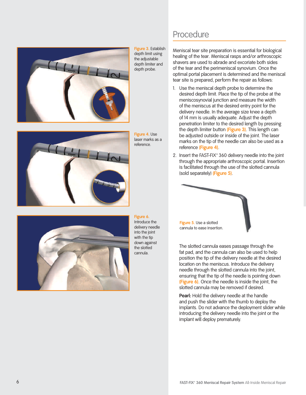

Figure 3. Establish depth limit using the adjustable depth limiter and depth probe.

Figure 4. Use laser marks as a reference



Figure 6.

Introduce the delivery needle into the joint with the tip down against the slotted cannula

### Procedure

Meniscal tear site preparation is essential for biological healing of the tear. Meniscal rasps and/or arthroscopic shavers are used to abrade and excoriate both sides of the tear and the perimeniscal synovium. Once the optimal portal placement is determined and the meniscal tear site is prepared, perform the repair as follows:

- 1. Use the meniscal depth probe to determine the desired depth limit. Place the tip of the probe at the meniscosynovial junction and measure the width of the meniscus at the desired entry point for the delivery needle. In the average size knee a depth of 14 mm is usually adequate. Adjust the depth penetration limiter to the desired length by pressing the depth limiter button (Figure 3). This length can be adjusted outside or inside of the joint. The laser marks on the tip of the needle can also be used as a reference (Figure 4).
- 2. Insert the FAST-FIX° 360 delivery needle into the joint through the appropriate arthroscopic portal. Insertion is facilitated through the use of the slotted cannula (sold separately) (Figure 5).



The slotted cannula eases passage through the fat pad, and the cannula can also be used to help position the tip of the delivery needle at the desired location on the meniscus. Introduce the delivery needle through the slotted cannula into the joint, ensuring that the tip of the needle is pointing down (Figure 6). Once the needle is inside the joint, the slotted cannula may be removed if desired.

Pearl: Hold the delivery needle at the handle and push the slider with the thumb to deploy the implants. Do not advance the deployment slider while introducing the delivery needle into the joint or the implant will deploy prematurely.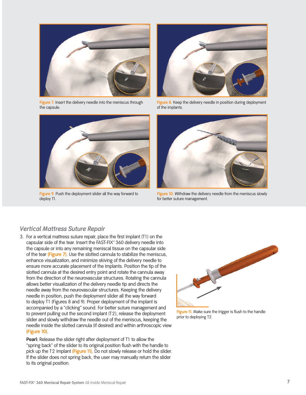

Figure 7. Insert the delivery needle into the meniscus through the capsule.



Figure 8. Keep the delivery needle in position during deployment of the implants.



Figure 9. Push the deployment slider all the way forward to deploy T1.



Figure 10. Withdraw the delivery needle from the meniscus slowly for better suture management.

#### **Vertical Mattress Suture Repair**

3. For a vertical mattress suture repair, place the first implant (T1) on the capsular side of the tear. Insert the FAST-FIX° 360 delivery needle into the capsule or into any remaining meniscal tissue on the capsular side of the tear (Figure 7). Use the slotted cannula to stabilize the meniscus, enhance visualization, and minimize skiving of the delivery needle to ensure more accurate placement of the implants. Position the tip of the slotted cannula at the desired entry point and rotate the cannula away from the direction of the neurovascular structures. Rotating the cannula allows better visualization of the delivery needle tip and directs the needle away from the neurovascular structures. Keeping the delivery needle in position, push the deployment slider all the way forward to deploy T1 (Figures 8 and 9). Proper deployment of the implant is accompanied by a "clicking" sound. For better suture management and to prevent pulling out the second implant (T2), release the deployment slider and slowly withdraw the needle out of the meniscus, keeping the needle inside the slotted cannula (if desired) and within arthroscopic view (Figure 10).

Pearl: Release the slider right after deployment of T1 to allow the "spring back" of the slider to its original position flush with the handle to pick up the T2 implant (Figure 11). Do not slowly release or hold the slider. If the slider does not spring back, the user may manually return the slider to its original position.



Figure 11. Make sure the trigger is flush to the handle prior to deploying T2.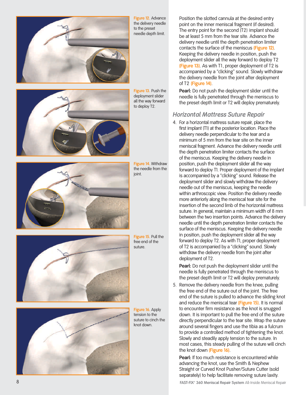

Figure 12. Advance the delivery needle to the preset needle depth limit.



Figure 13. Push the deployment slider all the way forward to deploy T2.



Figure 14. Withdraw the needle from the joint.



Figure 15. Pull the free end of the suture.

Figure 16. Apply tension to the suture to cinch the knot down.

Position the slotted cannula at the desired entry point on the inner meniscal fragment (if desired). The entry point for the second (T2) implant should be at least 5 mm from the tear site. Advance the delivery needle until the depth penetration limiter contacts the surface of the meniscus (Figure 12). Keeping the delivery needle in position, push the deployment slider all the way forward to deploy T2 (Figure 13). As with T1, proper deployment of T2 is accompanied by a "clicking" sound. Slowly withdraw the delivery needle from the joint after deployment of T2 (Figure 14).

**Pearl:** Do not push the deployment slider until the needle is fully penetrated through the meniscus to the preset depth limit or T2 will deploy prematurely.

#### **Horizontal Mattress Suture Repair**

4. For a horizontal mattress suture repair, place the first implant (T1) at the posterior location. Place the delivery needle perpendicular to the tear and a minimum of 5 mm from the tear site on the inner meniscal fragment. Advance the delivery needle until the depth penetration limiter contacts the surface of the meniscus. Keeping the delivery needle in position, push the deployment slider all the way forward to deploy T1. Proper deployment of the implant is accompanied by a "clicking" sound. Release the deployment slider and slowly withdraw the delivery needle out of the meniscus, keeping the needle within arthroscopic view. Position the delivery needle more anteriorly along the meniscal tear site for the insertion of the second limb of the horizontal mattress suture. In general, maintain a minimum width of 8 mm between the two insertion points. Advance the delivery needle until the depth penetration limiter contacts the surface of the meniscus. Keeping the delivery needle in position, push the deployment slider all the way forward to deploy T2. As with T1, proper deployment of T2 is accompanied by a "clicking" sound. Slowly withdraw the delivery needle from the joint after deployment of T2.

Pearl: Do not push the deployment slider until the needle is fully penetrated through the meniscus to the preset depth limit or T2 will deploy prematurely.

5. Remove the delivery needle from the knee, pulling the free end of the suture out of the joint. The free end of the suture is pulled to advance the sliding knot and reduce the meniscal tear (Figure 15). It is normal to encounter firm resistance as the knot is snugged down. It is important to pull the free end of the suture directly perpendicular to the tear site. Wrap the suture around several fingers and use the tibia as a fulcrum to provide a controlled method of tightening the knot. Slowly and steadily apply tension to the suture. In most cases, this steady pulling of the suture will cinch the knot down (Figure 16).

Pearl: If too much resistance is encountered while advancing the knot, use the Smith & Nephew Straight or Curved Knot Pusher/Suture Cutter (sold separately) to help facilitate removing suture laxity.

FAST-FIX° 360 Meniscal Repair System All-Inside Meniscal Repair

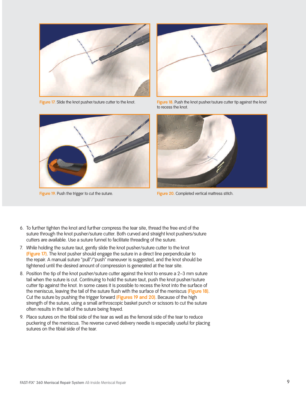

Figure 17. Slide the knot pusher/suture cutter to the knot.



Figure 19. Push the trigger to cut the suture.



Figure 18. Push the knot pusher/suture cutter tip against the knot to recess the knot.



Figure 20. Completed vertical mattress stitch.

- 6. To further tighten the knot and further compress the tear site, thread the free end of the suture through the knot pusher/suture cutter. Both curved and straight knot pushers/suture cutters are available. Use a suture funnel to facilitate threading of the suture.
- 7. While holding the suture taut, gently slide the knot pusher/suture cutter to the knot (Figure 17). The knot pusher should engage the suture in a direct line perpendicular to the repair. A manual suture "pull"/"push" maneuver is suggested, and the knot should be tightened until the desired amount of compression is generated at the tear site.
- 8. Position the tip of the knot pusher/suture cutter against the knot to ensure a 2-3 mm suture tail when the suture is cut. Continuing to hold the suture taut, push the knot pusher/suture cutter tip against the knot. In some cases it is possible to recess the knot into the surface of the meniscus, leaving the tail of the suture flush with the surface of the meniscus (Figure 18). Cut the suture by pushing the trigger forward (Figures 19 and 20). Because of the high strength of the suture, using a small arthroscopic basket punch or scissors to cut the suture often results in the tail of the suture being frayed.
- 9. Place sutures on the tibial side of the tear as well as the femoral side of the tear to reduce puckering of the meniscus. The reverse curved delivery needle is especially useful for placing sutures on the tibial side of the tear.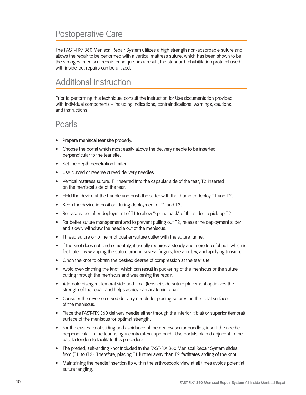### **Postoperative Care**

The FAST-FIX° 360 Meniscal Repair System utilizes a high strength non-absorbable suture and allows the repair to be performed with a vertical mattress suture, which has been shown to be the strongest meniscal repair technique. As a result, the standard rehabilitation protocol used with inside-out repairs can be utilized.

### **Additional Instruction**

Prior to performing this technique, consult the Instruction for Use documentation provided with individual components - including indications, contraindications, warnings, cautions, and instructions.

#### Pearls

- Prepare meniscal tear site properly.
- Choose the portal which most easily allows the delivery needle to be inserted perpendicular to the tear site.
- Set the depth penetration limiter.
- Use curved or reverse curved delivery needles.
- Vertical mattress suture: T1 inserted into the capsular side of the tear; T2 inserted  $\bullet$ on the meniscal side of the tear.
- Hold the device at the handle and push the slider with the thumb to deploy T1 and T2.
- Keep the device in position during deployment of T1 and T2.
- Release slider after deployment of T1 to allow "spring back" of the slider to pick up T2.  $\bullet$
- For better suture management and to prevent pulling out T2, release the deployment slider and slowly withdraw the needle out of the meniscus.
- Thread suture onto the knot pusher/suture cutter with the suture funnel.
- If the knot does not cinch smoothly, it usually requires a steady and more forceful pull, which is  $\bullet$ facilitated by wrapping the suture around several fingers, like a pulley, and applying tension.
- Cinch the knot to obtain the desired degree of compression at the tear site.
- Avoid over-cinching the knot, which can result in puckering of the meniscus or the suture cutting through the meniscus and weakening the repair.
- Alternate divergent femoral side and tibial (tensile) side suture placement optimizes the  $\bullet$ strength of the repair and helps achieve an anatomic repair.
- Consider the reverse curved delivery needle for placing sutures on the tibial surface of the meniscus.
- Place the FAST-FIX 360 delivery needle either through the inferior (tibial) or superior (femoral) surface of the meniscus for optimal strength.
- For the easiest knot sliding and avoidance of the neurovascular bundles, insert the needle perpendicular to the tear using a contralateral approach. Use portals placed adjacent to the patella tendon to facilitate this procedure.
- The pretied, self-sliding knot included in the FAST-FIX 360 Meniscal Repair System slides  $\bullet$ from (T1) to (T2). Therefore, placing T1 further away than T2 facilitates sliding of the knot.
- Maintaining the needle insertion tip within the arthroscopic view at all times avoids potential suture tangling.